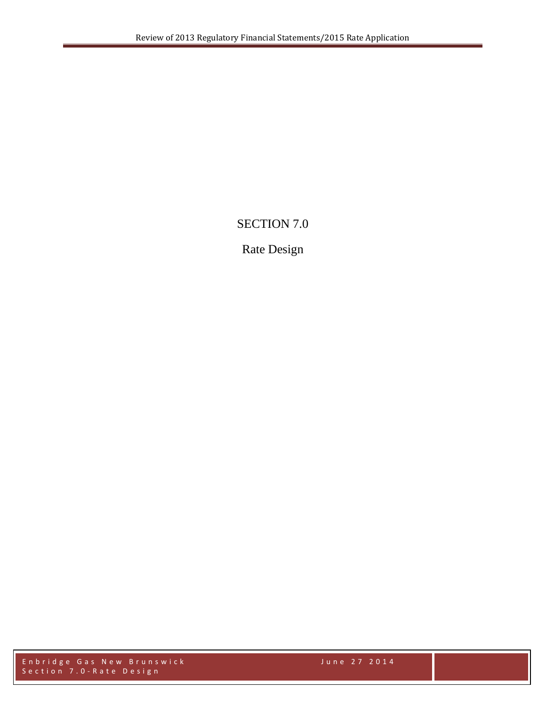# SECTION 7.0

# Rate Design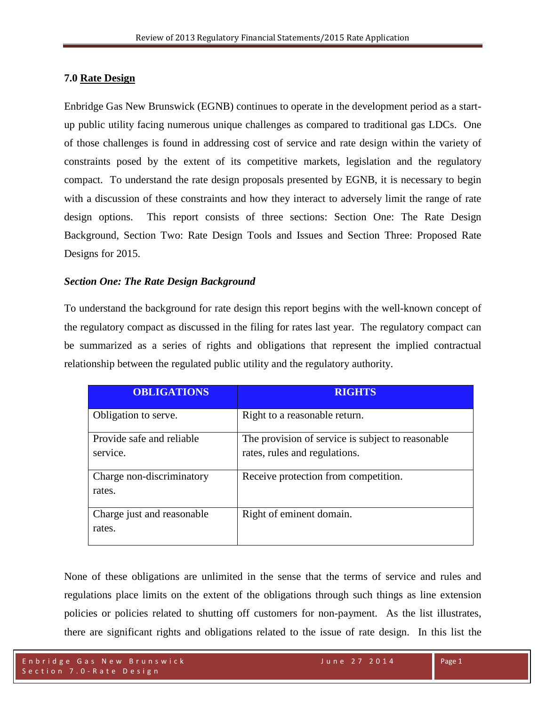### **7.0 Rate Design**

Enbridge Gas New Brunswick (EGNB) continues to operate in the development period as a startup public utility facing numerous unique challenges as compared to traditional gas LDCs. One of those challenges is found in addressing cost of service and rate design within the variety of constraints posed by the extent of its competitive markets, legislation and the regulatory compact. To understand the rate design proposals presented by EGNB, it is necessary to begin with a discussion of these constraints and how they interact to adversely limit the range of rate design options. This report consists of three sections: Section One: The Rate Design Background, Section Two: Rate Design Tools and Issues and Section Three: Proposed Rate Designs for 2015.

### *Section One: The Rate Design Background*

To understand the background for rate design this report begins with the well-known concept of the regulatory compact as discussed in the filing for rates last year. The regulatory compact can be summarized as a series of rights and obligations that represent the implied contractual relationship between the regulated public utility and the regulatory authority.

| <b>OBLIGATIONS</b>                    | <b>RIGHTS</b>                                                                      |
|---------------------------------------|------------------------------------------------------------------------------------|
| Obligation to serve.                  | Right to a reasonable return.                                                      |
| Provide safe and reliable<br>service. | The provision of service is subject to reasonable<br>rates, rules and regulations. |
| Charge non-discriminatory<br>rates.   | Receive protection from competition.                                               |
| Charge just and reasonable<br>rates.  | Right of eminent domain.                                                           |

None of these obligations are unlimited in the sense that the terms of service and rules and regulations place limits on the extent of the obligations through such things as line extension policies or policies related to shutting off customers for non-payment. As the list illustrates, there are significant rights and obligations related to the issue of rate design. In this list the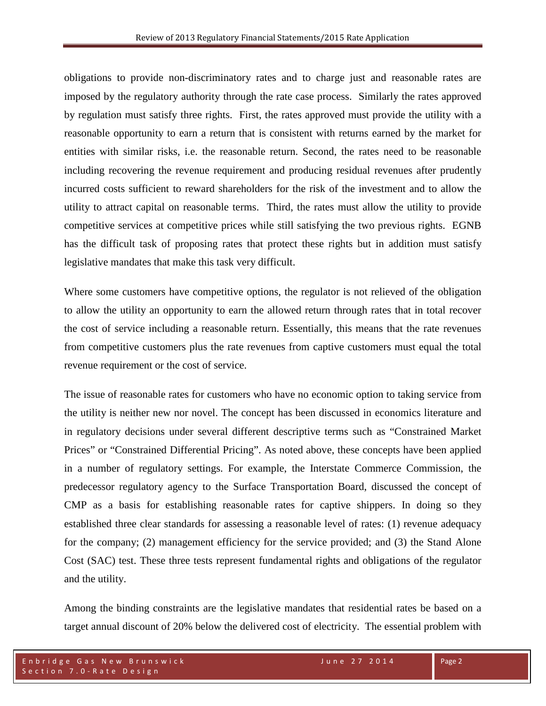obligations to provide non-discriminatory rates and to charge just and reasonable rates are imposed by the regulatory authority through the rate case process. Similarly the rates approved by regulation must satisfy three rights. First, the rates approved must provide the utility with a reasonable opportunity to earn a return that is consistent with returns earned by the market for entities with similar risks, i.e. the reasonable return. Second, the rates need to be reasonable including recovering the revenue requirement and producing residual revenues after prudently incurred costs sufficient to reward shareholders for the risk of the investment and to allow the utility to attract capital on reasonable terms. Third, the rates must allow the utility to provide competitive services at competitive prices while still satisfying the two previous rights. EGNB has the difficult task of proposing rates that protect these rights but in addition must satisfy legislative mandates that make this task very difficult.

Where some customers have competitive options, the regulator is not relieved of the obligation to allow the utility an opportunity to earn the allowed return through rates that in total recover the cost of service including a reasonable return. Essentially, this means that the rate revenues from competitive customers plus the rate revenues from captive customers must equal the total revenue requirement or the cost of service.

The issue of reasonable rates for customers who have no economic option to taking service from the utility is neither new nor novel. The concept has been discussed in economics literature and in regulatory decisions under several different descriptive terms such as "Constrained Market Prices" or "Constrained Differential Pricing". As noted above, these concepts have been applied in a number of regulatory settings. For example, the Interstate Commerce Commission, the predecessor regulatory agency to the Surface Transportation Board, discussed the concept of CMP as a basis for establishing reasonable rates for captive shippers. In doing so they established three clear standards for assessing a reasonable level of rates: (1) revenue adequacy for the company; (2) management efficiency for the service provided; and (3) the Stand Alone Cost (SAC) test. These three tests represent fundamental rights and obligations of the regulator and the utility.

Among the binding constraints are the legislative mandates that residential rates be based on a target annual discount of 20% below the delivered cost of electricity. The essential problem with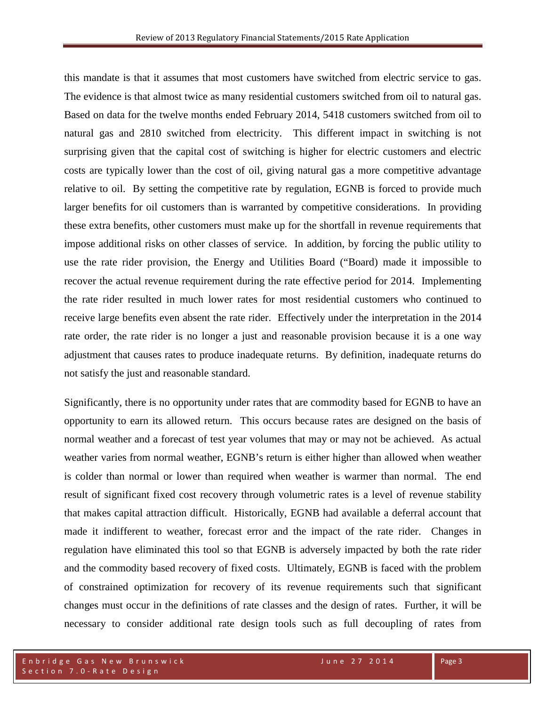this mandate is that it assumes that most customers have switched from electric service to gas. The evidence is that almost twice as many residential customers switched from oil to natural gas. Based on data for the twelve months ended February 2014, 5418 customers switched from oil to natural gas and 2810 switched from electricity. This different impact in switching is not surprising given that the capital cost of switching is higher for electric customers and electric costs are typically lower than the cost of oil, giving natural gas a more competitive advantage relative to oil. By setting the competitive rate by regulation, EGNB is forced to provide much larger benefits for oil customers than is warranted by competitive considerations. In providing these extra benefits, other customers must make up for the shortfall in revenue requirements that impose additional risks on other classes of service. In addition, by forcing the public utility to use the rate rider provision, the Energy and Utilities Board ("Board) made it impossible to recover the actual revenue requirement during the rate effective period for 2014. Implementing the rate rider resulted in much lower rates for most residential customers who continued to receive large benefits even absent the rate rider. Effectively under the interpretation in the 2014 rate order, the rate rider is no longer a just and reasonable provision because it is a one way adjustment that causes rates to produce inadequate returns. By definition, inadequate returns do not satisfy the just and reasonable standard.

Significantly, there is no opportunity under rates that are commodity based for EGNB to have an opportunity to earn its allowed return. This occurs because rates are designed on the basis of normal weather and a forecast of test year volumes that may or may not be achieved. As actual weather varies from normal weather, EGNB's return is either higher than allowed when weather is colder than normal or lower than required when weather is warmer than normal. The end result of significant fixed cost recovery through volumetric rates is a level of revenue stability that makes capital attraction difficult. Historically, EGNB had available a deferral account that made it indifferent to weather, forecast error and the impact of the rate rider. Changes in regulation have eliminated this tool so that EGNB is adversely impacted by both the rate rider and the commodity based recovery of fixed costs. Ultimately, EGNB is faced with the problem of constrained optimization for recovery of its revenue requirements such that significant changes must occur in the definitions of rate classes and the design of rates. Further, it will be necessary to consider additional rate design tools such as full decoupling of rates from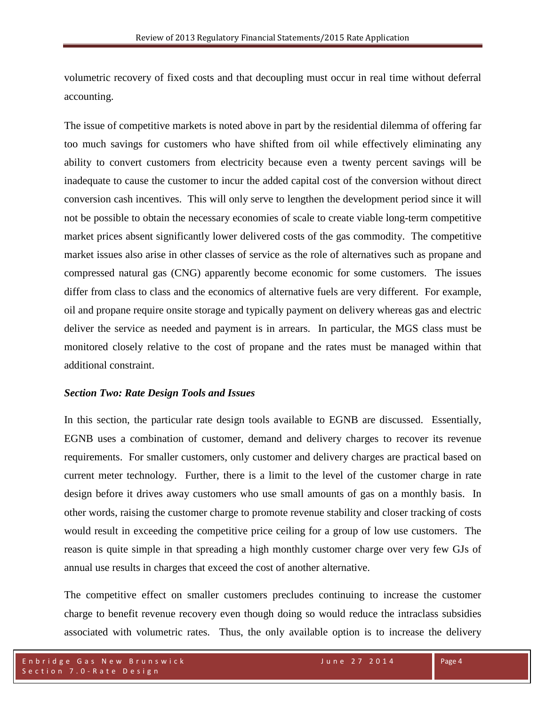volumetric recovery of fixed costs and that decoupling must occur in real time without deferral accounting.

The issue of competitive markets is noted above in part by the residential dilemma of offering far too much savings for customers who have shifted from oil while effectively eliminating any ability to convert customers from electricity because even a twenty percent savings will be inadequate to cause the customer to incur the added capital cost of the conversion without direct conversion cash incentives. This will only serve to lengthen the development period since it will not be possible to obtain the necessary economies of scale to create viable long-term competitive market prices absent significantly lower delivered costs of the gas commodity. The competitive market issues also arise in other classes of service as the role of alternatives such as propane and compressed natural gas (CNG) apparently become economic for some customers. The issues differ from class to class and the economics of alternative fuels are very different. For example, oil and propane require onsite storage and typically payment on delivery whereas gas and electric deliver the service as needed and payment is in arrears. In particular, the MGS class must be monitored closely relative to the cost of propane and the rates must be managed within that additional constraint.

### *Section Two: Rate Design Tools and Issues*

In this section, the particular rate design tools available to EGNB are discussed. Essentially, EGNB uses a combination of customer, demand and delivery charges to recover its revenue requirements. For smaller customers, only customer and delivery charges are practical based on current meter technology. Further, there is a limit to the level of the customer charge in rate design before it drives away customers who use small amounts of gas on a monthly basis. In other words, raising the customer charge to promote revenue stability and closer tracking of costs would result in exceeding the competitive price ceiling for a group of low use customers. The reason is quite simple in that spreading a high monthly customer charge over very few GJs of annual use results in charges that exceed the cost of another alternative.

The competitive effect on smaller customers precludes continuing to increase the customer charge to benefit revenue recovery even though doing so would reduce the intraclass subsidies associated with volumetric rates. Thus, the only available option is to increase the delivery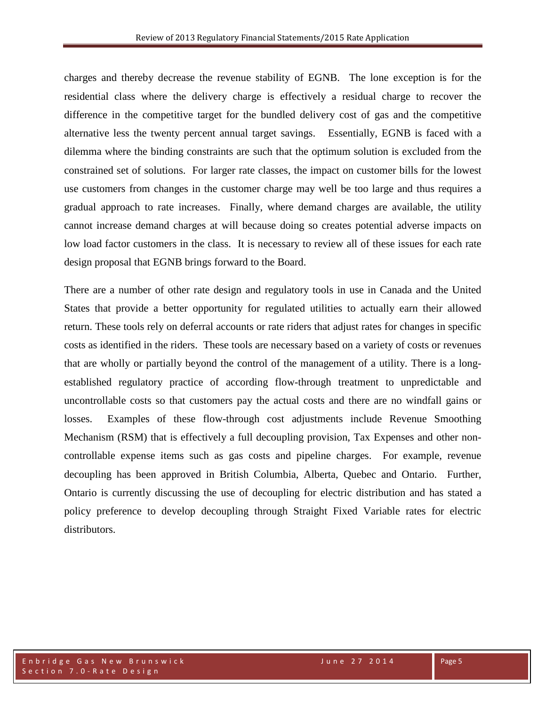charges and thereby decrease the revenue stability of EGNB. The lone exception is for the residential class where the delivery charge is effectively a residual charge to recover the difference in the competitive target for the bundled delivery cost of gas and the competitive alternative less the twenty percent annual target savings. Essentially, EGNB is faced with a dilemma where the binding constraints are such that the optimum solution is excluded from the constrained set of solutions. For larger rate classes, the impact on customer bills for the lowest use customers from changes in the customer charge may well be too large and thus requires a gradual approach to rate increases. Finally, where demand charges are available, the utility cannot increase demand charges at will because doing so creates potential adverse impacts on low load factor customers in the class. It is necessary to review all of these issues for each rate design proposal that EGNB brings forward to the Board.

There are a number of other rate design and regulatory tools in use in Canada and the United States that provide a better opportunity for regulated utilities to actually earn their allowed return. These tools rely on deferral accounts or rate riders that adjust rates for changes in specific costs as identified in the riders. These tools are necessary based on a variety of costs or revenues that are wholly or partially beyond the control of the management of a utility. There is a longestablished regulatory practice of according flow-through treatment to unpredictable and uncontrollable costs so that customers pay the actual costs and there are no windfall gains or losses. Examples of these flow-through cost adjustments include Revenue Smoothing Mechanism (RSM) that is effectively a full decoupling provision, Tax Expenses and other noncontrollable expense items such as gas costs and pipeline charges. For example, revenue decoupling has been approved in British Columbia, Alberta, Quebec and Ontario. Further, Ontario is currently discussing the use of decoupling for electric distribution and has stated a policy preference to develop decoupling through Straight Fixed Variable rates for electric distributors.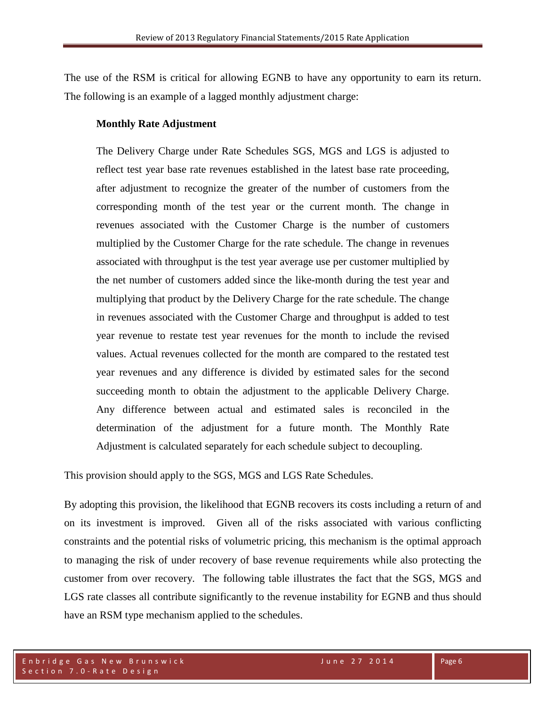The use of the RSM is critical for allowing EGNB to have any opportunity to earn its return. The following is an example of a lagged monthly adjustment charge:

### **Monthly Rate Adjustment**

The Delivery Charge under Rate Schedules SGS, MGS and LGS is adjusted to reflect test year base rate revenues established in the latest base rate proceeding, after adjustment to recognize the greater of the number of customers from the corresponding month of the test year or the current month. The change in revenues associated with the Customer Charge is the number of customers multiplied by the Customer Charge for the rate schedule. The change in revenues associated with throughput is the test year average use per customer multiplied by the net number of customers added since the like-month during the test year and multiplying that product by the Delivery Charge for the rate schedule. The change in revenues associated with the Customer Charge and throughput is added to test year revenue to restate test year revenues for the month to include the revised values. Actual revenues collected for the month are compared to the restated test year revenues and any difference is divided by estimated sales for the second succeeding month to obtain the adjustment to the applicable Delivery Charge. Any difference between actual and estimated sales is reconciled in the determination of the adjustment for a future month. The Monthly Rate Adjustment is calculated separately for each schedule subject to decoupling.

This provision should apply to the SGS, MGS and LGS Rate Schedules.

By adopting this provision, the likelihood that EGNB recovers its costs including a return of and on its investment is improved. Given all of the risks associated with various conflicting constraints and the potential risks of volumetric pricing, this mechanism is the optimal approach to managing the risk of under recovery of base revenue requirements while also protecting the customer from over recovery. The following table illustrates the fact that the SGS, MGS and LGS rate classes all contribute significantly to the revenue instability for EGNB and thus should have an RSM type mechanism applied to the schedules.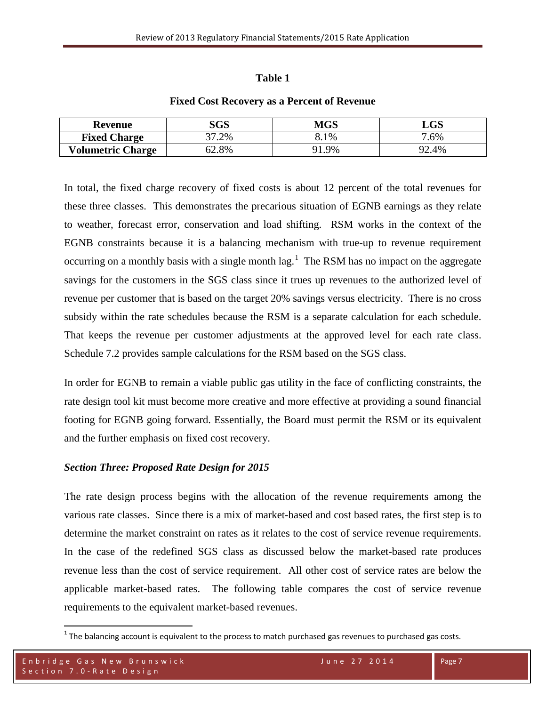### **Table 1**

# **Revenue SGS MGS LGS Fixed Charge**  $\begin{array}{ccc} 37.2\% & 8.1\% \end{array}$  7.6% **Volumetric Charge**  $\begin{array}{ccc} 62.8\% & 91.9\% \end{array}$  92.4%

### **Fixed Cost Recovery as a Percent of Revenue**

In total, the fixed charge recovery of fixed costs is about 12 percent of the total revenues for these three classes. This demonstrates the precarious situation of EGNB earnings as they relate to weather, forecast error, conservation and load shifting. RSM works in the context of the EGNB constraints because it is a balancing mechanism with true-up to revenue requirement occurring on a monthly basis with a single month  $lag<sup>1</sup>$  $lag<sup>1</sup>$  $lag<sup>1</sup>$ . The RSM has no impact on the aggregate savings for the customers in the SGS class since it trues up revenues to the authorized level of revenue per customer that is based on the target 20% savings versus electricity. There is no cross subsidy within the rate schedules because the RSM is a separate calculation for each schedule. That keeps the revenue per customer adjustments at the approved level for each rate class. Schedule 7.2 provides sample calculations for the RSM based on the SGS class.

In order for EGNB to remain a viable public gas utility in the face of conflicting constraints, the rate design tool kit must become more creative and more effective at providing a sound financial footing for EGNB going forward. Essentially, the Board must permit the RSM or its equivalent and the further emphasis on fixed cost recovery.

## *Section Three: Proposed Rate Design for 2015*

The rate design process begins with the allocation of the revenue requirements among the various rate classes. Since there is a mix of market-based and cost based rates, the first step is to determine the market constraint on rates as it relates to the cost of service revenue requirements. In the case of the redefined SGS class as discussed below the market-based rate produces revenue less than the cost of service requirement. All other cost of service rates are below the applicable market-based rates. The following table compares the cost of service revenue requirements to the equivalent market-based revenues.

<span id="page-7-0"></span> $1$  The balancing account is equivalent to the process to match purchased gas revenues to purchased gas costs.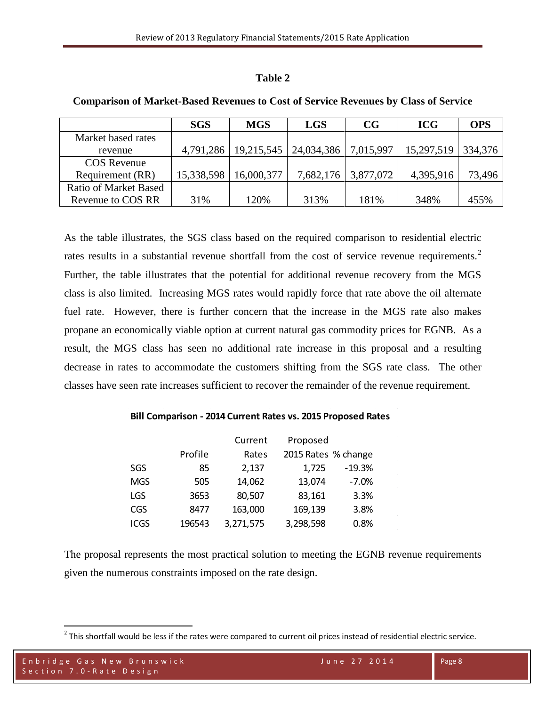### **Table 2**

|                              | <b>SGS</b> | <b>MGS</b> | <b>LGS</b> | CG        | <b>ICG</b> | <b>OPS</b> |
|------------------------------|------------|------------|------------|-----------|------------|------------|
| Market based rates           |            |            |            |           |            |            |
| revenue                      | 4,791,286  | 19,215,545 | 24,034,386 | 7,015,997 | 15,297,519 | 334,376    |
| <b>COS</b> Revenue           |            |            |            |           |            |            |
| Requirement (RR)             | 15,338,598 | 16,000,377 | 7,682,176  | 3,877,072 | 4,395,916  | 73,496     |
| <b>Ratio of Market Based</b> |            |            |            |           |            |            |
| Revenue to COS RR            | 31%        | 120%       | 313%       | 181%      | 348%       | 455%       |

#### **Comparison of Market-Based Revenues to Cost of Service Revenues by Class of Service**

As the table illustrates, the SGS class based on the required comparison to residential electric rates results in a substantial revenue shortfall from the cost of service revenue requirements.<sup>[2](#page-8-0)</sup> Further, the table illustrates that the potential for additional revenue recovery from the MGS class is also limited. Increasing MGS rates would rapidly force that rate above the oil alternate fuel rate. However, there is further concern that the increase in the MGS rate also makes propane an economically viable option at current natural gas commodity prices for EGNB. As a result, the MGS class has seen no additional rate increase in this proposal and a resulting decrease in rates to accommodate the customers shifting from the SGS rate class. The other classes have seen rate increases sufficient to recover the remainder of the revenue requirement.

#### **Bill Comparison - 2014 Current Rates vs. 2015 Proposed Rates**

|             |         | Current   | Proposed            |          |
|-------------|---------|-----------|---------------------|----------|
|             | Profile | Rates     | 2015 Rates % change |          |
| SGS         | 85      | 2,137     | 1,725               | $-19.3%$ |
| <b>MGS</b>  | 505     | 14,062    | 13,074              | $-7.0%$  |
| <b>LGS</b>  | 3653    | 80,507    | 83,161              | 3.3%     |
| <b>CGS</b>  | 8477    | 163,000   | 169,139             | 3.8%     |
| <b>ICGS</b> | 196543  | 3,271,575 | 3,298,598           | 0.8%     |

The proposal represents the most practical solution to meeting the EGNB revenue requirements given the numerous constraints imposed on the rate design.

<span id="page-8-0"></span> $2$  This shortfall would be less if the rates were compared to current oil prices instead of residential electric service.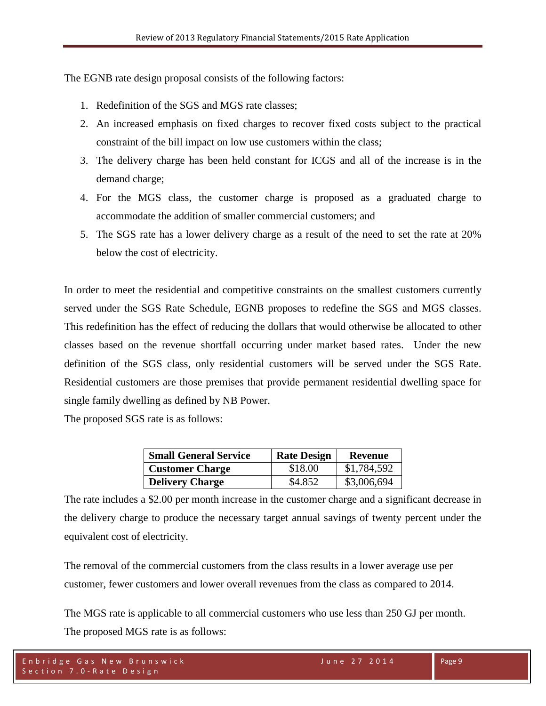The EGNB rate design proposal consists of the following factors:

- 1. Redefinition of the SGS and MGS rate classes;
- 2. An increased emphasis on fixed charges to recover fixed costs subject to the practical constraint of the bill impact on low use customers within the class;
- 3. The delivery charge has been held constant for ICGS and all of the increase is in the demand charge;
- 4. For the MGS class, the customer charge is proposed as a graduated charge to accommodate the addition of smaller commercial customers; and
- 5. The SGS rate has a lower delivery charge as a result of the need to set the rate at 20% below the cost of electricity.

In order to meet the residential and competitive constraints on the smallest customers currently served under the SGS Rate Schedule, EGNB proposes to redefine the SGS and MGS classes. This redefinition has the effect of reducing the dollars that would otherwise be allocated to other classes based on the revenue shortfall occurring under market based rates. Under the new definition of the SGS class, only residential customers will be served under the SGS Rate. Residential customers are those premises that provide permanent residential dwelling space for single family dwelling as defined by NB Power.

The proposed SGS rate is as follows:

| <b>Small General Service</b> | <b>Rate Design</b> | Revenue     |
|------------------------------|--------------------|-------------|
| <b>Customer Charge</b>       | \$18.00            | \$1,784,592 |
| <b>Delivery Charge</b>       | \$4.852            | \$3,006,694 |

The rate includes a \$2.00 per month increase in the customer charge and a significant decrease in the delivery charge to produce the necessary target annual savings of twenty percent under the equivalent cost of electricity.

The removal of the commercial customers from the class results in a lower average use per customer, fewer customers and lower overall revenues from the class as compared to 2014.

The MGS rate is applicable to all commercial customers who use less than 250 GJ per month. The proposed MGS rate is as follows: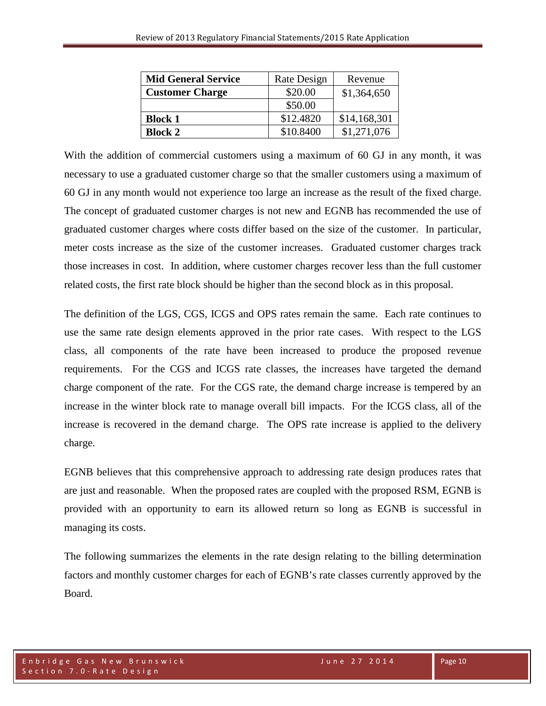| <b>Mid General Service</b> | Rate Design | Revenue      |
|----------------------------|-------------|--------------|
| <b>Customer Charge</b>     | \$20.00     | \$1,364,650  |
|                            | \$50.00     |              |
| <b>Block 1</b>             | \$12.4820   | \$14,168,301 |
| <b>Block 2</b>             | \$10.8400   | \$1,271,076  |

With the addition of commercial customers using a maximum of 60 GJ in any month, it was necessary to use a graduated customer charge so that the smaller customers using a maximum of 60 GJ in any month would not experience too large an increase as the result of the fixed charge. The concept of graduated customer charges is not new and EGNB has recommended the use of graduated customer charges where costs differ based on the size of the customer. In particular, meter costs increase as the size of the customer increases. Graduated customer charges track those increases in cost. In addition, where customer charges recover less than the full customer related costs, the first rate block should be higher than the second block as in this proposal.

The definition of the LGS, CGS, ICGS and OPS rates remain the same. Each rate continues to use the same rate design elements approved in the prior rate cases. With respect to the LGS class, all components of the rate have been increased to produce the proposed revenue requirements. For the CGS and ICGS rate classes, the increases have targeted the demand charge component of the rate. For the CGS rate, the demand charge increase is tempered by an increase in the winter block rate to manage overall bill impacts. For the ICGS class, all of the increase is recovered in the demand charge. The OPS rate increase is applied to the delivery charge.

EGNB believes that this comprehensive approach to addressing rate design produces rates that are just and reasonable. When the proposed rates are coupled with the proposed RSM, EGNB is provided with an opportunity to earn its allowed return so long as EGNB is successful in managing its costs.

The following summarizes the elements in the rate design relating to the billing determination factors and monthly customer charges for each of EGNB's rate classes currently approved by the Board.